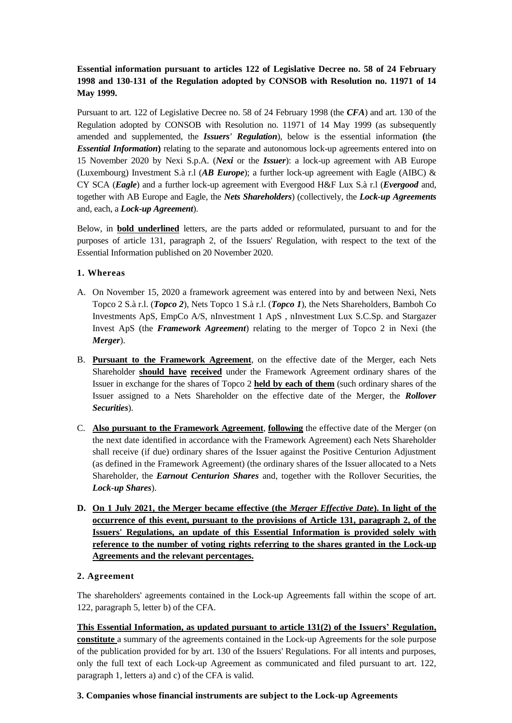# **Essential information pursuant to articles 122 of Legislative Decree no. 58 of 24 February 1998 and 130-131 of the Regulation adopted by CONSOB with Resolution no. 11971 of 14 May 1999.**

Pursuant to art. 122 of Legislative Decree no. 58 of 24 February 1998 (the *CFA*) and art. 130 of the Regulation adopted by CONSOB with Resolution no. 11971 of 14 May 1999 (as subsequently amended and supplemented, the *Issuers' Regulation*), below is the essential information **(**the *Essential Information***)** relating to the separate and autonomous lock-up agreements entered into on 15 November 2020 by Nexi S.p.A. (*Nexi* or the *Issuer*): a lock-up agreement with AB Europe (Luxembourg) Investment S.à r.l (*AB Europe*); a further lock-up agreement with Eagle (AIBC) & CY SCA (*Eagle*) and a further lock-up agreement with Evergood H&F Lux S.à r.l (*Evergood* and, together with AB Europe and Eagle, the *Nets Shareholders*) (collectively, the *Lock-up Agreements*  and, each, a *Lock-up Agreement*).

Below, in **bold underlined** letters, are the parts added or reformulated, pursuant to and for the purposes of article 131, paragraph 2, of the Issuers' Regulation, with respect to the text of the Essential Information published on 20 November 2020.

# **1. Whereas**

- A. On November 15, 2020 a framework agreement was entered into by and between Nexi, Nets Topco 2 S.à r.l. (*Topco 2*), Nets Topco 1 S.à r.l. (*Topco 1*), the Nets Shareholders, Bamboh Co Investments ApS, EmpCo A/S, nInvestment 1 ApS , nInvestment Lux S.C.Sp. and Stargazer Invest ApS (the *Framework Agreement*) relating to the merger of Topco 2 in Nexi (the *Merger*).
- B. **Pursuant to the Framework Agreement**, on the effective date of the Merger, each Nets Shareholder **should have received** under the Framework Agreement ordinary shares of the Issuer in exchange for the shares of Topco 2 **held by each of them** (such ordinary shares of the Issuer assigned to a Nets Shareholder on the effective date of the Merger, the *Rollover Securities*).
- C. **Also pursuant to the Framework Agreement**, **following** the effective date of the Merger (on the next date identified in accordance with the Framework Agreement) each Nets Shareholder shall receive (if due) ordinary shares of the Issuer against the Positive Centurion Adjustment (as defined in the Framework Agreement) (the ordinary shares of the Issuer allocated to a Nets Shareholder, the *Earnout Centurion Shares* and, together with the Rollover Securities, the *Lock-up Shares*).
- **D. On 1 July 2021, the Merger became effective (the** *Merger Effective Date***). In light of the occurrence of this event, pursuant to the provisions of Article 131, paragraph 2, of the Issuers' Regulations, an update of this Essential Information is provided solely with reference to the number of voting rights referring to the shares granted in the Lock-up Agreements and the relevant percentages.**

### **2. Agreement**

The shareholders' agreements contained in the Lock-up Agreements fall within the scope of art. 122, paragraph 5, letter b) of the CFA.

**This Essential Information, as updated pursuant to article 131(2) of the Issuers' Regulation, constitute** a summary of the agreements contained in the Lock-up Agreements for the sole purpose of the publication provided for by art. 130 of the Issuers' Regulations. For all intents and purposes, only the full text of each Lock-up Agreement as communicated and filed pursuant to art. 122, paragraph 1, letters a) and c) of the CFA is valid.

### **3. Companies whose financial instruments are subject to the Lock-up Agreements**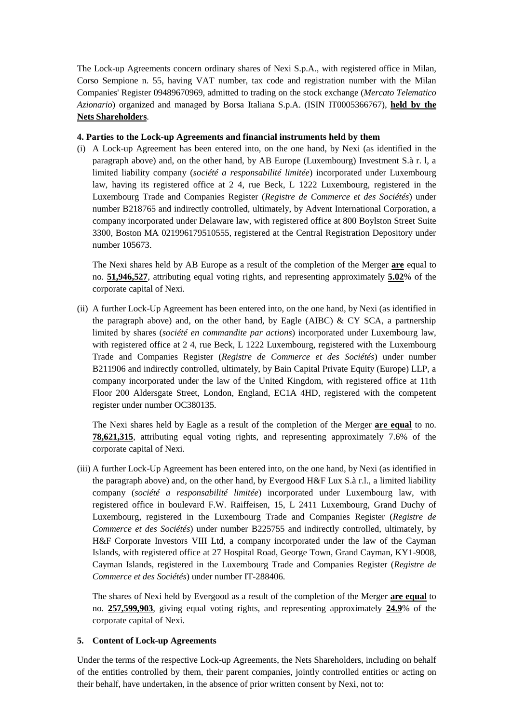The Lock-up Agreements concern ordinary shares of Nexi S.p.A., with registered office in Milan, Corso Sempione n. 55, having VAT number, tax code and registration number with the Milan Companies' Register 09489670969, admitted to trading on the stock exchange (*Mercato Telematico Azionario*) organized and managed by Borsa Italiana S.p.A. (ISIN IT0005366767), **held by the Nets Shareholders**.

#### **4. Parties to the Lock-up Agreements and financial instruments held by them**

(i) A Lock-up Agreement has been entered into, on the one hand, by Nexi (as identified in the paragraph above) and, on the other hand, by AB Europe (Luxembourg) Investment S.à r. l, a limited liability company (*société a responsabilité limitée*) incorporated under Luxembourg law, having its registered office at 2 4, rue Beck, L 1222 Luxembourg, registered in the Luxembourg Trade and Companies Register (*Registre de Commerce et des Sociétés*) under number B218765 and indirectly controlled, ultimately, by Advent International Corporation, a company incorporated under Delaware law, with registered office at 800 Boylston Street Suite 3300, Boston MA 021996179510555, registered at the Central Registration Depository under number 105673.

The Nexi shares held by AB Europe as a result of the completion of the Merger **are** equal to no. **51,946,527**, attributing equal voting rights, and representing approximately **5.02**% of the corporate capital of Nexi.

(ii) A further Lock-Up Agreement has been entered into, on the one hand, by Nexi (as identified in the paragraph above) and, on the other hand, by Eagle (AIBC)  $\&$  CY SCA, a partnership limited by shares (*société en commandite par actions*) incorporated under Luxembourg law, with registered office at 2 4, rue Beck, L 1222 Luxembourg, registered with the Luxembourg Trade and Companies Register (*Registre de Commerce et des Sociétés*) under number B211906 and indirectly controlled, ultimately, by Bain Capital Private Equity (Europe) LLP, a company incorporated under the law of the United Kingdom, with registered office at 11th Floor 200 Aldersgate Street, London, England, EC1A 4HD, registered with the competent register under number OC380135.

The Nexi shares held by Eagle as a result of the completion of the Merger **are equal** to no. **78,621,315**, attributing equal voting rights, and representing approximately 7.6% of the corporate capital of Nexi.

(iii) A further Lock-Up Agreement has been entered into, on the one hand, by Nexi (as identified in the paragraph above) and, on the other hand, by Evergood H&F Lux S.à r.l., a limited liability company (*société a responsabilité limitée*) incorporated under Luxembourg law, with registered office in boulevard F.W. Raiffeisen, 15, L 2411 Luxembourg, Grand Duchy of Luxembourg, registered in the Luxembourg Trade and Companies Register (*Registre de Commerce et des Sociétés*) under number B225755 and indirectly controlled, ultimately, by H&F Corporate Investors VIII Ltd, a company incorporated under the law of the Cayman Islands, with registered office at 27 Hospital Road, George Town, Grand Cayman, KY1-9008, Cayman Islands, registered in the Luxembourg Trade and Companies Register (*Registre de Commerce et des Sociétés*) under number IT-288406.

The shares of Nexi held by Evergood as a result of the completion of the Merger **are equal** to no. **257,599,903**, giving equal voting rights, and representing approximately **24.9**% of the corporate capital of Nexi.

### **5. Content of Lock-up Agreements**

Under the terms of the respective Lock-up Agreements, the Nets Shareholders, including on behalf of the entities controlled by them, their parent companies, jointly controlled entities or acting on their behalf, have undertaken, in the absence of prior written consent by Nexi, not to: